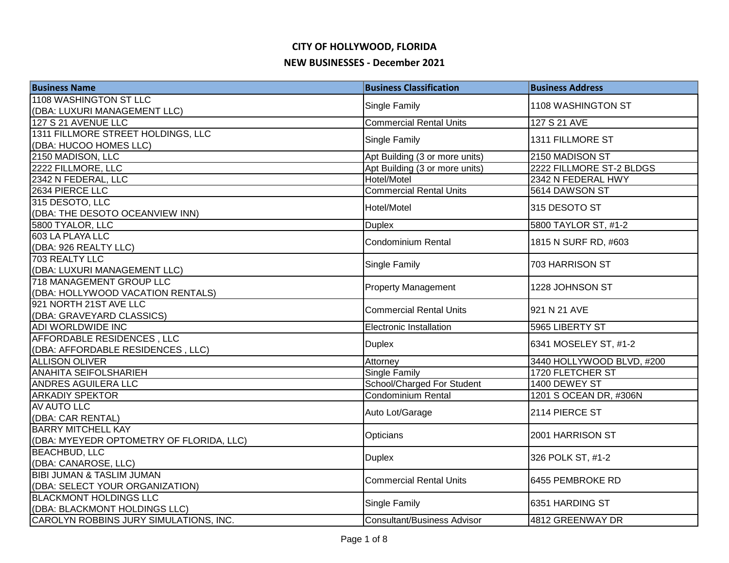| <b>Business Name</b>                     | <b>Business Classification</b>     | <b>Business Address</b>   |
|------------------------------------------|------------------------------------|---------------------------|
| 1108 WASHINGTON ST LLC                   |                                    | 1108 WASHINGTON ST        |
| (DBA: LUXURI MANAGEMENT LLC)             | Single Family                      |                           |
| 127 S 21 AVENUE LLC                      | <b>Commercial Rental Units</b>     | 127 S 21 AVE              |
| 1311 FILLMORE STREET HOLDINGS, LLC       | Single Family                      | 1311 FILLMORE ST          |
| (DBA: HUCOO HOMES LLC)                   |                                    |                           |
| 2150 MADISON, LLC                        | Apt Building (3 or more units)     | 2150 MADISON ST           |
| 2222 FILLMORE, LLC                       | Apt Building (3 or more units)     | 2222 FILLMORE ST-2 BLDGS  |
| 2342 N FEDERAL, LLC                      | Hotel/Motel                        | 2342 N FEDERAL HWY        |
| 2634 PIERCE LLC                          | <b>Commercial Rental Units</b>     | 5614 DAWSON ST            |
| 315 DESOTO, LLC                          | Hotel/Motel                        | 315 DESOTO ST             |
| (DBA: THE DESOTO OCEANVIEW INN)          |                                    |                           |
| 5800 TYALOR, LLC                         | <b>Duplex</b>                      | 5800 TAYLOR ST, #1-2      |
| 603 LA PLAYA LLC                         | <b>Condominium Rental</b>          | 1815 N SURF RD, #603      |
| (DBA: 926 REALTY LLC)                    |                                    |                           |
| 703 REALTY LLC                           | Single Family                      | 703 HARRISON ST           |
| (DBA: LUXURI MANAGEMENT LLC)             |                                    |                           |
| 718 MANAGEMENT GROUP LLC                 | <b>Property Management</b>         | 1228 JOHNSON ST           |
| (DBA: HOLLYWOOD VACATION RENTALS)        |                                    |                           |
| 921 NORTH 21ST AVE LLC                   | <b>Commercial Rental Units</b>     | 921 N 21 AVE              |
| (DBA: GRAVEYARD CLASSICS)                |                                    |                           |
| ADI WORLDWIDE INC                        | <b>Electronic Installation</b>     | 5965 LIBERTY ST           |
| <b>AFFORDABLE RESIDENCES, LLC</b>        | <b>Duplex</b>                      | 6341 MOSELEY ST, #1-2     |
| (DBA: AFFORDABLE RESIDENCES, LLC)        |                                    |                           |
| <b>ALLISON OLIVER</b>                    | Attorney                           | 3440 HOLLYWOOD BLVD, #200 |
| ANAHITA SEIFOLSHARIEH                    | <b>Single Family</b>               | 1720 FLETCHER ST          |
| <b>ANDRES AGUILERA LLC</b>               | School/Charged For Student         | 1400 DEWEY ST             |
| <b>ARKADIY SPEKTOR</b>                   | <b>Condominium Rental</b>          | 1201 S OCEAN DR, #306N    |
| <b>AV AUTO LLC</b>                       | Auto Lot/Garage                    | 2114 PIERCE ST            |
| (DBA: CAR RENTAL)                        |                                    |                           |
| <b>BARRY MITCHELL KAY</b>                | Opticians                          | 2001 HARRISON ST          |
| (DBA: MYEYEDR OPTOMETRY OF FLORIDA, LLC) |                                    |                           |
| <b>BEACHBUD, LLC</b>                     | <b>Duplex</b>                      | 326 POLK ST, #1-2         |
| (DBA: CANAROSE, LLC)                     |                                    |                           |
| <b>BIBI JUMAN &amp; TASLIM JUMAN</b>     | <b>Commercial Rental Units</b>     | 6455 PEMBROKE RD          |
| (DBA: SELECT YOUR ORGANIZATION)          |                                    |                           |
| <b>BLACKMONT HOLDINGS LLC</b>            | Single Family                      | 6351 HARDING ST           |
| (DBA: BLACKMONT HOLDINGS LLC)            |                                    |                           |
| CAROLYN ROBBINS JURY SIMULATIONS, INC.   | <b>Consultant/Business Advisor</b> | 4812 GREENWAY DR          |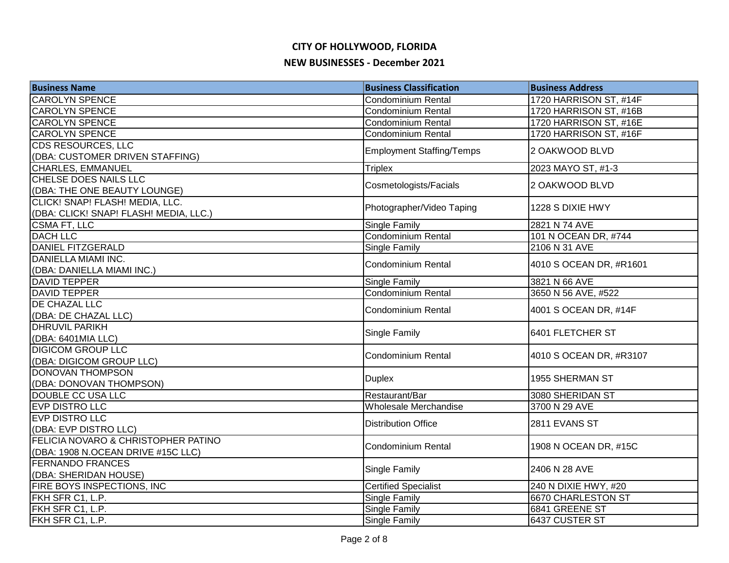| <b>Business Name</b>                   | <b>Business Classification</b>   | <b>Business Address</b> |
|----------------------------------------|----------------------------------|-------------------------|
| <b>CAROLYN SPENCE</b>                  | Condominium Rental               | 1720 HARRISON ST, #14F  |
| <b>CAROLYN SPENCE</b>                  | <b>Condominium Rental</b>        | 1720 HARRISON ST, #16B  |
| <b>CAROLYN SPENCE</b>                  | <b>Condominium Rental</b>        | 1720 HARRISON ST, #16E  |
| <b>CAROLYN SPENCE</b>                  | <b>Condominium Rental</b>        | 1720 HARRISON ST, #16F  |
| <b>CDS RESOURCES, LLC</b>              |                                  | 2 OAKWOOD BLVD          |
| (DBA: CUSTOMER DRIVEN STAFFING)        | <b>Employment Staffing/Temps</b> |                         |
| <b>CHARLES, EMMANUEL</b>               | <b>Triplex</b>                   | 2023 MAYO ST, #1-3      |
| CHELSE DOES NAILS LLC                  |                                  |                         |
| (DBA: THE ONE BEAUTY LOUNGE)           | Cosmetologists/Facials           | 2 OAKWOOD BLVD          |
| CLICK! SNAP! FLASH! MEDIA, LLC.        |                                  |                         |
| (DBA: CLICK! SNAP! FLASH! MEDIA, LLC.) | Photographer/Video Taping        | 1228 S DIXIE HWY        |
| CSMA FT, LLC                           | Single Family                    | 2821 N 74 AVE           |
| <b>DACH LLC</b>                        | Condominium Rental               | 101 N OCEAN DR, #744    |
| <b>DANIEL FITZGERALD</b>               | Single Family                    | 2106 N 31 AVE           |
| DANIELLA MIAMI INC.                    |                                  |                         |
| (DBA: DANIELLA MIAMI INC.)             | <b>Condominium Rental</b>        | 4010 S OCEAN DR, #R1601 |
| <b>DAVID TEPPER</b>                    | <b>Single Family</b>             | 3821 N 66 AVE           |
| <b>DAVID TEPPER</b>                    | <b>Condominium Rental</b>        | 3650 N 56 AVE, #522     |
| DE CHAZAL LLC                          | <b>Condominium Rental</b>        |                         |
| (DBA: DE CHAZAL LLC)                   |                                  | 4001 S OCEAN DR, #14F   |
| <b>DHRUVIL PARIKH</b>                  |                                  |                         |
| (DBA: 6401MIA LLC)                     | Single Family                    | 6401 FLETCHER ST        |
| <b>DIGICOM GROUP LLC</b>               | <b>Condominium Rental</b>        |                         |
| (DBA: DIGICOM GROUP LLC)               |                                  | 4010 S OCEAN DR, #R3107 |
| <b>DONOVAN THOMPSON</b>                |                                  | 1955 SHERMAN ST         |
| (DBA: DONOVAN THOMPSON)                | <b>Duplex</b>                    |                         |
| DOUBLE CC USA LLC                      | Restaurant/Bar                   | 3080 SHERIDAN ST        |
| <b>EVP DISTRO LLC</b>                  | Wholesale Merchandise            | 3700 N 29 AVE           |
| <b>EVP DISTRO LLC</b>                  | <b>Distribution Office</b>       | 2811 EVANS ST           |
| (DBA: EVP DISTRO LLC)                  |                                  |                         |
| FELICIA NOVARO & CHRISTOPHER PATINO    | Condominium Rental               | 1908 N OCEAN DR, #15C   |
| (DBA: 1908 N.OCEAN DRIVE #15C LLC)     |                                  |                         |
| <b>FERNANDO FRANCES</b>                |                                  | 2406 N 28 AVE           |
| (DBA: SHERIDAN HOUSE)                  | Single Family                    |                         |
| <b>FIRE BOYS INSPECTIONS, INC</b>      | <b>Certified Specialist</b>      | 240 N DIXIE HWY, #20    |
| FKH SFR C1, L.P.                       | Single Family                    | 6670 CHARLESTON ST      |
| FKH SFR C1, L.P.                       | <b>Single Family</b>             | 6841 GREENE ST          |
| FKH SFR C1, L.P.                       | <b>Single Family</b>             | 6437 CUSTER ST          |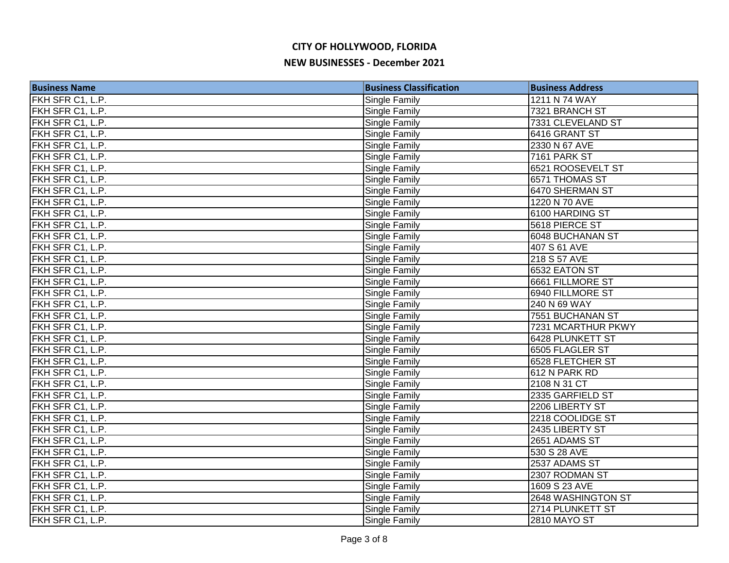| <b>Business Name</b> | <b>Business Classification</b> | <b>Business Address</b> |
|----------------------|--------------------------------|-------------------------|
| FKH SFR C1, L.P.     | Single Family                  | 1211 N 74 WAY           |
| FKH SFR C1, L.P.     | Single Family                  | 7321 BRANCH ST          |
| FKH SFR C1, L.P.     | Single Family                  | 7331 CLEVELAND ST       |
| FKH SFR C1, L.P.     | <b>Single Family</b>           | 6416 GRANT ST           |
| FKH SFR C1, L.P.     | Single Family                  | 2330 N 67 AVE           |
| FKH SFR C1, L.P.     | Single Family                  | 7161 PARK ST            |
| FKH SFR C1, L.P.     | Single Family                  | 6521 ROOSEVELT ST       |
| FKH SFR C1, L.P.     | Single Family                  | 6571 THOMAS ST          |
| FKH SFR C1, L.P.     | Single Family                  | 6470 SHERMAN ST         |
| FKH SFR C1, L.P.     | Single Family                  | 1220 N 70 AVE           |
| FKH SFR C1, L.P.     | <b>Single Family</b>           | 6100 HARDING ST         |
| FKH SFR C1, L.P.     | Single Family                  | 5618 PIERCE ST          |
| FKH SFR C1, L.P.     | Single Family                  | 6048 BUCHANAN ST        |
| FKH SFR C1, L.P.     | <b>Single Family</b>           | 407 S 61 AVE            |
| FKH SFR C1, L.P.     | Single Family                  | 218 S 57 AVE            |
| FKH SFR C1, L.P.     | Single Family                  | 6532 EATON ST           |
| FKH SFR C1, L.P.     | Single Family                  | 6661 FILLMORE ST        |
| FKH SFR C1, L.P.     | Single Family                  | 6940 FILLMORE ST        |
| FKH SFR C1, L.P.     | Single Family                  | 240 N 69 WAY            |
| FKH SFR C1, L.P.     | Single Family                  | 7551 BUCHANAN ST        |
| FKH SFR C1, L.P.     | <b>Single Family</b>           | 7231 MCARTHUR PKWY      |
| FKH SFR C1, L.P.     | <b>Single Family</b>           | 6428 PLUNKETT ST        |
| FKH SFR C1, L.P.     | Single Family                  | 6505 FLAGLER ST         |
| FKH SFR C1, L.P.     | Single Family                  | 6528 FLETCHER ST        |
| FKH SFR C1, L.P.     | Single Family                  | 612 N PARK RD           |
| FKH SFR C1, L.P.     | Single Family                  | 2108 N 31 CT            |
| FKH SFR C1, L.P.     | Single Family                  | 2335 GARFIELD ST        |
| FKH SFR C1, L.P.     | Single Family                  | 2206 LIBERTY ST         |
| FKH SFR C1, L.P.     | Single Family                  | 2218 COOLIDGE ST        |
| FKH SFR C1, L.P.     | Single Family                  | 2435 LIBERTY ST         |
| FKH SFR C1, L.P.     | Single Family                  | 2651 ADAMS ST           |
| FKH SFR C1, L.P.     | Single Family                  | 530 S 28 AVE            |
| FKH SFR C1, L.P.     | Single Family                  | 2537 ADAMS ST           |
| FKH SFR C1, L.P.     | Single Family                  | 2307 RODMAN ST          |
| FKH SFR C1, L.P.     | Single Family                  | 1609 S 23 AVE           |
| FKH SFR C1, L.P.     | Single Family                  | 2648 WASHINGTON ST      |
| FKH SFR C1, L.P.     | Single Family                  | 2714 PLUNKETT ST        |
| FKH SFR C1, L.P.     | Single Family                  | <b>2810 MAYO ST</b>     |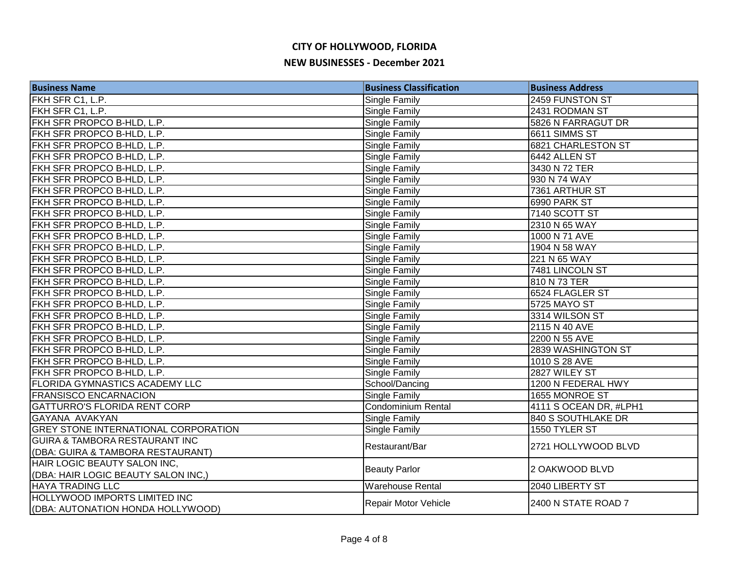| <b>Business Name</b>                        | <b>Business Classification</b> | <b>Business Address</b> |
|---------------------------------------------|--------------------------------|-------------------------|
| FKH SFR C1, L.P.                            | Single Family                  | 2459 FUNSTON ST         |
| FKH SFR C1, L.P.                            | Single Family                  | 2431 RODMAN ST          |
| FKH SFR PROPCO B-HLD, L.P.                  | Single Family                  | 5826 N FARRAGUT DR      |
| FKH SFR PROPCO B-HLD, L.P.                  | Single Family                  | 6611 SIMMS ST           |
| FKH SFR PROPCO B-HLD, L.P.                  | Single Family                  | 6821 CHARLESTON ST      |
| FKH SFR PROPCO B-HLD, L.P.                  | Single Family                  | 6442 ALLEN ST           |
| FKH SFR PROPCO B-HLD, L.P.                  | Single Family                  | 3430 N 72 TER           |
| FKH SFR PROPCO B-HLD, L.P.                  | Single Family                  | 930 N 74 WAY            |
| FKH SFR PROPCO B-HLD, L.P.                  | Single Family                  | 7361 ARTHUR ST          |
| FKH SFR PROPCO B-HLD, L.P.                  | Single Family                  | 6990 PARK ST            |
| FKH SFR PROPCO B-HLD, L.P.                  | Single Family                  | 7140 SCOTT ST           |
| FKH SFR PROPCO B-HLD, L.P.                  | Single Family                  | 2310 N 65 WAY           |
| FKH SFR PROPCO B-HLD, L.P.                  | Single Family                  | 1000 N 71 AVE           |
| FKH SFR PROPCO B-HLD, L.P.                  | Single Family                  | 1904 N 58 WAY           |
| FKH SFR PROPCO B-HLD, L.P.                  | Single Family                  | 221 N 65 WAY            |
| FKH SFR PROPCO B-HLD, L.P.                  | Single Family                  | 7481 LINCOLN ST         |
| FKH SFR PROPCO B-HLD, L.P.                  | Single Family                  | 810 N 73 TER            |
| FKH SFR PROPCO B-HLD, L.P.                  | Single Family                  | 6524 FLAGLER ST         |
| FKH SFR PROPCO B-HLD, L.P.                  | Single Family                  | 5725 MAYO ST            |
| FKH SFR PROPCO B-HLD, L.P.                  | Single Family                  | 3314 WILSON ST          |
| FKH SFR PROPCO B-HLD, L.P.                  | Single Family                  | 2115 N 40 AVE           |
| FKH SFR PROPCO B-HLD, L.P.                  | Single Family                  | 2200 N 55 AVE           |
| FKH SFR PROPCO B-HLD, L.P.                  | Single Family                  | 2839 WASHINGTON ST      |
| FKH SFR PROPCO B-HLD, L.P.                  | Single Family                  | 1010 S 28 AVE           |
| FKH SFR PROPCO B-HLD, L.P.                  | Single Family                  | 2827 WILEY ST           |
| <b>FLORIDA GYMNASTICS ACADEMY LLC</b>       | School/Dancing                 | 1200 N FEDERAL HWY      |
| <b>FRANSISCO ENCARNACION</b>                | Single Family                  | 1655 MONROE ST          |
| <b>GATTURRO'S FLORIDA RENT CORP</b>         | Condominium Rental             | 4111 S OCEAN DR, #LPH1  |
| GAYANA AVAKYAN                              | Single Family                  | 840 S SOUTHLAKE DR      |
| <b>GREY STONE INTERNATIONAL CORPORATION</b> | Single Family                  | 1550 TYLER ST           |
| <b>GUIRA &amp; TAMBORA RESTAURANT INC</b>   | Restaurant/Bar                 | 2721 HOLLYWOOD BLVD     |
| (DBA: GUIRA & TAMBORA RESTAURANT)           |                                |                         |
| HAIR LOGIC BEAUTY SALON INC,                | <b>Beauty Parlor</b>           | 2 OAKWOOD BLVD          |
| (DBA: HAIR LOGIC BEAUTY SALON INC,)         |                                |                         |
| <b>HAYA TRADING LLC</b>                     | <b>Warehouse Rental</b>        | 2040 LIBERTY ST         |
| <b>HOLLYWOOD IMPORTS LIMITED INC</b>        | Repair Motor Vehicle           | 2400 N STATE ROAD 7     |
| (DBA: AUTONATION HONDA HOLLYWOOD)           |                                |                         |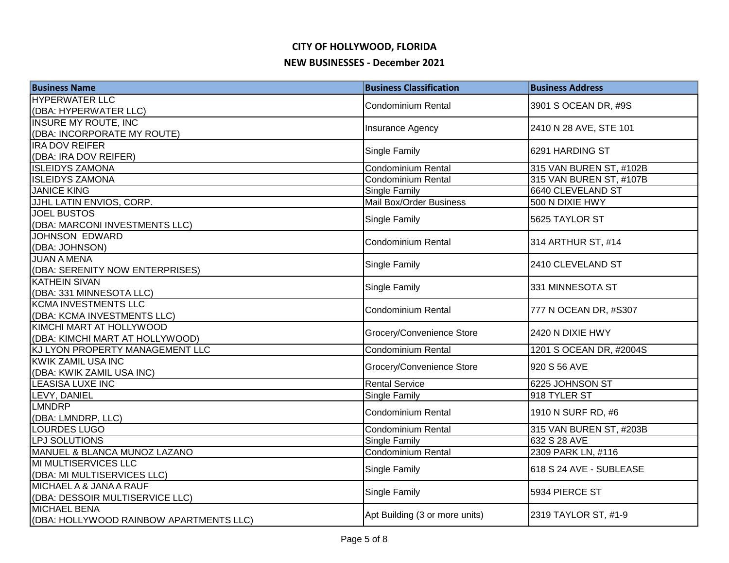| <b>Business Name</b>                    | <b>Business Classification</b> | <b>Business Address</b> |
|-----------------------------------------|--------------------------------|-------------------------|
| <b>HYPERWATER LLC</b>                   |                                |                         |
| (DBA: HYPERWATER LLC)                   | Condominium Rental             | 3901 S OCEAN DR, #9S    |
| <b>INSURE MY ROUTE, INC</b>             |                                |                         |
| (DBA: INCORPORATE MY ROUTE)             | <b>Insurance Agency</b>        | 2410 N 28 AVE, STE 101  |
| <b>IRA DOV REIFER</b>                   | Single Family                  | 6291 HARDING ST         |
| (DBA: IRA DOV REIFER)                   |                                |                         |
| <b>ISLEIDYS ZAMONA</b>                  | Condominium Rental             | 315 VAN BUREN ST, #102B |
| <b>ISLEIDYS ZAMONA</b>                  | Condominium Rental             | 315 VAN BUREN ST, #107B |
| <b>JANICE KING</b>                      | <b>Single Family</b>           | 6640 CLEVELAND ST       |
| JJHL LATIN ENVIOS, CORP.                | Mail Box/Order Business        | 500 N DIXIE HWY         |
| <b>JOEL BUSTOS</b>                      | <b>Single Family</b>           | 5625 TAYLOR ST          |
| (DBA: MARCONI INVESTMENTS LLC)          |                                |                         |
| <b>JOHNSON EDWARD</b>                   | <b>Condominium Rental</b>      | 314 ARTHUR ST, #14      |
| (DBA: JOHNSON)                          |                                |                         |
| <b>JUAN A MENA</b>                      | Single Family                  | 2410 CLEVELAND ST       |
| (DBA: SERENITY NOW ENTERPRISES)         |                                |                         |
| <b>KATHEIN SIVAN</b>                    | <b>Single Family</b>           | 331 MINNESOTA ST        |
| (DBA: 331 MINNESOTA LLC)                |                                |                         |
| <b>KCMA INVESTMENTS LLC</b>             | Condominium Rental             | 777 N OCEAN DR, #S307   |
| (DBA: KCMA INVESTMENTS LLC)             |                                |                         |
| KIMCHI MART AT HOLLYWOOD                | Grocery/Convenience Store      | 2420 N DIXIE HWY        |
| (DBA: KIMCHI MART AT HOLLYWOOD)         |                                |                         |
| KJ LYON PROPERTY MANAGEMENT LLC         | Condominium Rental             | 1201 S OCEAN DR, #2004S |
| <b>KWIK ZAMIL USA INC</b>               | Grocery/Convenience Store      | 920 S 56 AVE            |
| (DBA: KWIK ZAMIL USA INC)               |                                |                         |
| LEASISA LUXE INC                        | <b>Rental Service</b>          | 6225 JOHNSON ST         |
| LEVY, DANIEL                            | Single Family                  | 918 TYLER ST            |
| <b>LMNDRP</b>                           | <b>Condominium Rental</b>      | 1910 N SURF RD, #6      |
| (DBA: LMNDRP, LLC)                      |                                |                         |
| <b>LOURDES LUGO</b>                     | Condominium Rental             | 315 VAN BUREN ST, #203B |
| LPJ SOLUTIONS                           | <b>Single Family</b>           | 632 S 28 AVE            |
| MANUEL & BLANCA MUNOZ LAZANO            | <b>Condominium Rental</b>      | 2309 PARK LN, #116      |
| MI MULTISERVICES LLC                    | Single Family                  | 618 S 24 AVE - SUBLEASE |
| (DBA: MI MULTISERVICES LLC)             |                                |                         |
| MICHAEL A & JANA A RAUF                 | Single Family                  | 5934 PIERCE ST          |
| (DBA: DESSOIR MULTISERVICE LLC)         |                                |                         |
| <b>MICHAEL BENA</b>                     | Apt Building (3 or more units) | 2319 TAYLOR ST, #1-9    |
| (DBA: HOLLYWOOD RAINBOW APARTMENTS LLC) |                                |                         |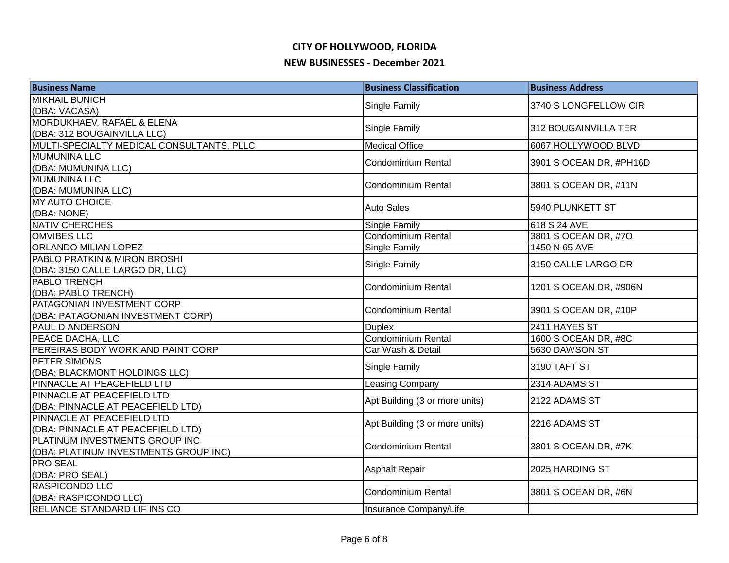| <b>Business Name</b>                      | <b>Business Classification</b> | <b>Business Address</b> |
|-------------------------------------------|--------------------------------|-------------------------|
| <b>MIKHAIL BUNICH</b>                     |                                | 3740 S LONGFELLOW CIR   |
| (DBA: VACASA)                             | Single Family                  |                         |
| MORDUKHAEV, RAFAEL & ELENA                | Single Family                  | 312 BOUGAINVILLA TER    |
| (DBA: 312 BOUGAINVILLA LLC)               |                                |                         |
| MULTI-SPECIALTY MEDICAL CONSULTANTS, PLLC | <b>Medical Office</b>          | 6067 HOLLYWOOD BLVD     |
| <b>MUMUNINA LLC</b>                       | <b>Condominium Rental</b>      | 3901 S OCEAN DR, #PH16D |
| (DBA: MUMUNINA LLC)                       |                                |                         |
| <b>MUMUNINA LLC</b>                       | Condominium Rental             | 3801 S OCEAN DR, #11N   |
| (DBA: MUMUNINA LLC)                       |                                |                         |
| <b>MY AUTO CHOICE</b>                     | <b>Auto Sales</b>              | 5940 PLUNKETT ST        |
| (DBA: NONE)                               |                                |                         |
| NATIV CHERCHES                            | Single Family                  | 618 S 24 AVE            |
| <b>OMVIBES LLC</b>                        | <b>Condominium Rental</b>      | 3801 S OCEAN DR, #7O    |
| ORLANDO MILIAN LOPEZ                      | Single Family                  | 1450 N 65 AVE           |
| PABLO PRATKIN & MIRON BROSHI              | Single Family                  | 3150 CALLE LARGO DR     |
| (DBA: 3150 CALLE LARGO DR, LLC)           |                                |                         |
| PABLO TRENCH                              | <b>Condominium Rental</b>      | 1201 S OCEAN DR, #906N  |
| (DBA: PABLO TRENCH)                       |                                |                         |
| PATAGONIAN INVESTMENT CORP                | <b>Condominium Rental</b>      | 3901 S OCEAN DR, #10P   |
| (DBA: PATAGONIAN INVESTMENT CORP)         |                                |                         |
| PAUL D ANDERSON                           | <b>Duplex</b>                  | 2411 HAYES ST           |
| PEACE DACHA, LLC                          | <b>Condominium Rental</b>      | 1600 S OCEAN DR, #8C    |
| PEREIRAS BODY WORK AND PAINT CORP         | Car Wash & Detail              | 5630 DAWSON ST          |
| PETER SIMONS                              | Single Family                  | 3190 TAFT ST            |
| (DBA: BLACKMONT HOLDINGS LLC)             |                                |                         |
| PINNACLE AT PEACEFIELD LTD                | <b>Leasing Company</b>         | 2314 ADAMS ST           |
| PINNACLE AT PEACEFIELD LTD                | Apt Building (3 or more units) | 2122 ADAMS ST           |
| (DBA: PINNACLE AT PEACEFIELD LTD)         |                                |                         |
| PINNACLE AT PEACEFIELD LTD                | Apt Building (3 or more units) | 2216 ADAMS ST           |
| (DBA: PINNACLE AT PEACEFIELD LTD)         |                                |                         |
| PLATINUM INVESTMENTS GROUP INC            | <b>Condominium Rental</b>      | 3801 S OCEAN DR, #7K    |
| (DBA: PLATINUM INVESTMENTS GROUP INC)     |                                |                         |
| <b>PRO SEAL</b>                           | <b>Asphalt Repair</b>          | 2025 HARDING ST         |
| (DBA: PRO SEAL)                           |                                |                         |
| <b>RASPICONDO LLC</b>                     | <b>Condominium Rental</b>      | 3801 S OCEAN DR, #6N    |
| (DBA: RASPICONDO LLC)                     |                                |                         |
| RELIANCE STANDARD LIF INS CO              | Insurance Company/Life         |                         |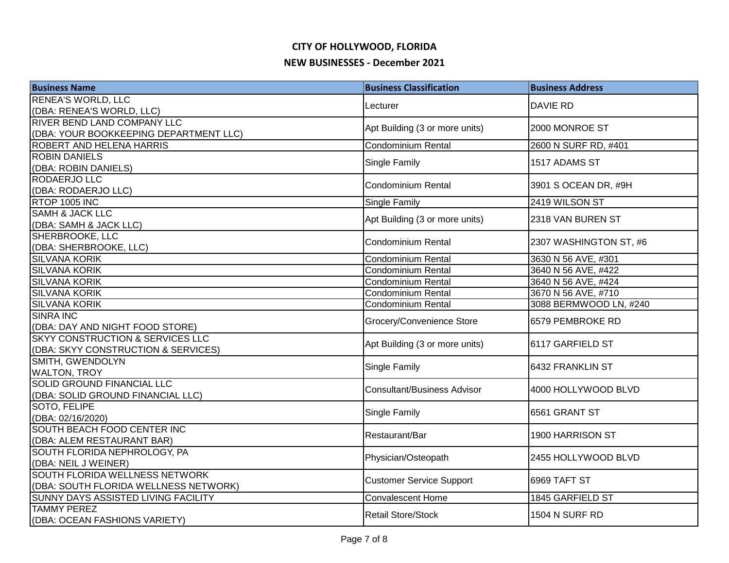| <b>Business Name</b>                                   | <b>Business Classification</b>     | <b>Business Address</b> |
|--------------------------------------------------------|------------------------------------|-------------------------|
| <b>RENEA'S WORLD, LLC</b>                              | Lecturer                           | <b>DAVIE RD</b>         |
| (DBA: RENEA'S WORLD, LLC)                              |                                    |                         |
| RIVER BEND LAND COMPANY LLC                            | Apt Building (3 or more units)     | 2000 MONROE ST          |
| (DBA: YOUR BOOKKEEPING DEPARTMENT LLC)                 |                                    |                         |
| ROBERT AND HELENA HARRIS                               | <b>Condominium Rental</b>          | 2600 N SURF RD, #401    |
| <b>ROBIN DANIELS</b>                                   | Single Family                      | 1517 ADAMS ST           |
| (DBA: ROBIN DANIELS)                                   |                                    |                         |
| RODAERJO LLC                                           | <b>Condominium Rental</b>          | 3901 S OCEAN DR, #9H    |
| (DBA: RODAERJO LLC)                                    |                                    |                         |
| <b>RTOP 1005 INC</b><br><b>SAMH &amp; JACK LLC</b>     | Single Family                      | 2419 WILSON ST          |
| (DBA: SAMH & JACK LLC)                                 | Apt Building (3 or more units)     | 2318 VAN BUREN ST       |
| SHERBROOKE, LLC                                        |                                    |                         |
| (DBA: SHERBROOKE, LLC)                                 | <b>Condominium Rental</b>          | 2307 WASHINGTON ST, #6  |
| <b>SILVANA KORIK</b>                                   | <b>Condominium Rental</b>          | 3630 N 56 AVE, #301     |
| <b>SILVANA KORIK</b>                                   | Condominium Rental                 | 3640 N 56 AVE, #422     |
| <b>SILVANA KORIK</b>                                   | Condominium Rental                 | 3640 N 56 AVE, #424     |
| <b>SILVANA KORIK</b>                                   | <b>Condominium Rental</b>          | 3670 N 56 AVE, #710     |
| <b>SILVANA KORIK</b>                                   | Condominium Rental                 | 3088 BERMWOOD LN, #240  |
| SINRA INC                                              |                                    |                         |
| (DBA: DAY AND NIGHT FOOD STORE)                        | Grocery/Convenience Store          | 6579 PEMBROKE RD        |
| <b>SKYY CONSTRUCTION &amp; SERVICES LLC</b>            | Apt Building (3 or more units)     | 6117 GARFIELD ST        |
| (DBA: SKYY CONSTRUCTION & SERVICES)                    |                                    |                         |
| SMITH, GWENDOLYN                                       | Single Family                      | 6432 FRANKLIN ST        |
| <b>WALTON, TROY</b>                                    |                                    |                         |
| SOLID GROUND FINANCIAL LLC                             | <b>Consultant/Business Advisor</b> | 4000 HOLLYWOOD BLVD     |
| (DBA: SOLID GROUND FINANCIAL LLC)                      |                                    |                         |
| SOTO, FELIPE                                           | Single Family                      | 6561 GRANT ST           |
| (DBA: 02/16/2020)                                      |                                    |                         |
| SOUTH BEACH FOOD CENTER INC                            | Restaurant/Bar                     | 1900 HARRISON ST        |
| (DBA: ALEM RESTAURANT BAR)                             |                                    |                         |
| SOUTH FLORIDA NEPHROLOGY, PA                           | Physician/Osteopath                | 2455 HOLLYWOOD BLVD     |
| (DBA: NEIL J WEINER)<br>SOUTH FLORIDA WELLNESS NETWORK |                                    |                         |
| (DBA: SOUTH FLORIDA WELLNESS NETWORK)                  | <b>Customer Service Support</b>    | 6969 TAFT ST            |
| SUNNY DAYS ASSISTED LIVING FACILITY                    | Convalescent Home                  | 1845 GARFIELD ST        |
| <b>TAMMY PEREZ</b>                                     |                                    |                         |
| (DBA: OCEAN FASHIONS VARIETY)                          | <b>Retail Store/Stock</b>          | 1504 N SURF RD          |